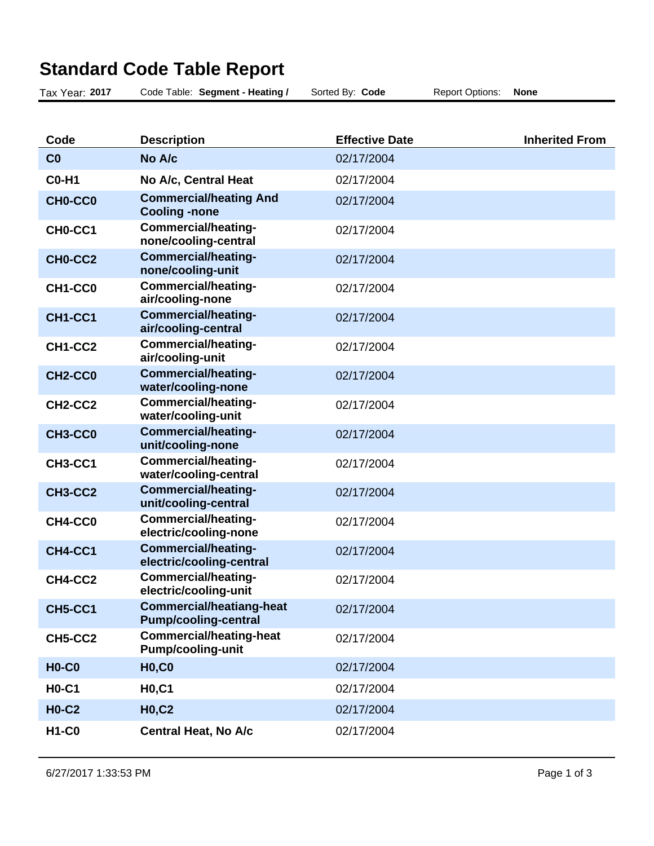| Tax Year: 2017 | Code Table: Segment - Heating /                                | Sorted By: Code       | <b>Report Options:</b> | <b>None</b>           |
|----------------|----------------------------------------------------------------|-----------------------|------------------------|-----------------------|
|                |                                                                |                       |                        |                       |
| Code           | <b>Description</b>                                             | <b>Effective Date</b> |                        | <b>Inherited From</b> |
| C <sub>0</sub> | No A/c                                                         | 02/17/2004            |                        |                       |
| <b>C0-H1</b>   | No A/c, Central Heat                                           | 02/17/2004            |                        |                       |
| CH0-CC0        | <b>Commercial/heating And</b><br><b>Cooling -none</b>          | 02/17/2004            |                        |                       |
| CH0-CC1        | <b>Commercial/heating-</b><br>none/cooling-central             | 02/17/2004            |                        |                       |
| CH0-CC2        | <b>Commercial/heating-</b><br>none/cooling-unit                | 02/17/2004            |                        |                       |
| CH1-CC0        | <b>Commercial/heating-</b><br>air/cooling-none                 | 02/17/2004            |                        |                       |
| CH1-CC1        | <b>Commercial/heating-</b><br>air/cooling-central              | 02/17/2004            |                        |                       |
| CH1-CC2        | <b>Commercial/heating-</b><br>air/cooling-unit                 | 02/17/2004            |                        |                       |
| CH2-CC0        | <b>Commercial/heating-</b><br>water/cooling-none               | 02/17/2004            |                        |                       |
| CH2-CC2        | <b>Commercial/heating-</b><br>water/cooling-unit               | 02/17/2004            |                        |                       |
| CH3-CC0        | <b>Commercial/heating-</b><br>unit/cooling-none                | 02/17/2004            |                        |                       |
| <b>CH3-CC1</b> | <b>Commercial/heating-</b><br>water/cooling-central            | 02/17/2004            |                        |                       |
| CH3-CC2        | <b>Commercial/heating-</b><br>unit/cooling-central             | 02/17/2004            |                        |                       |
| CH4-CC0        | <b>Commercial/heating-</b><br>electric/cooling-none            | 02/17/2004            |                        |                       |
| CH4-CC1        | <b>Commercial/heating-</b><br>electric/cooling-central         | 02/17/2004            |                        |                       |
| CH4-CC2        | Commercial/heating-<br>electric/cooling-unit                   | 02/17/2004            |                        |                       |
| <b>CH5-CC1</b> | <b>Commercial/heatiang-heat</b><br><b>Pump/cooling-central</b> | 02/17/2004            |                        |                       |
| CH5-CC2        | <b>Commercial/heating-heat</b><br><b>Pump/cooling-unit</b>     | 02/17/2004            |                        |                       |
| <b>H0-C0</b>   | <b>H0,C0</b>                                                   | 02/17/2004            |                        |                       |
| <b>H0-C1</b>   | <b>H0,C1</b>                                                   | 02/17/2004            |                        |                       |
| <b>H0-C2</b>   | <b>H0,C2</b>                                                   | 02/17/2004            |                        |                       |
| <b>H1-C0</b>   | <b>Central Heat, No A/c</b>                                    | 02/17/2004            |                        |                       |

## **Standard Code Table Report**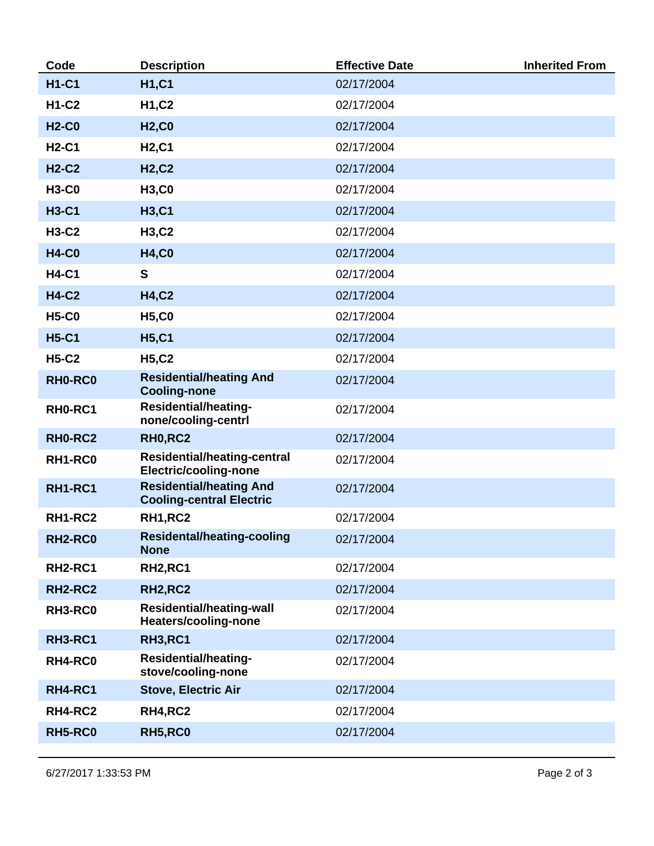| Code           | <b>Description</b>                                                 | <b>Effective Date</b> | <b>Inherited From</b> |
|----------------|--------------------------------------------------------------------|-----------------------|-----------------------|
| <b>H1-C1</b>   | <b>H1,C1</b>                                                       | 02/17/2004            |                       |
| <b>H1-C2</b>   | <b>H1,C2</b>                                                       | 02/17/2004            |                       |
| <b>H2-C0</b>   | <b>H2,C0</b>                                                       | 02/17/2004            |                       |
| <b>H2-C1</b>   | <b>H2,C1</b>                                                       | 02/17/2004            |                       |
| <b>H2-C2</b>   | <b>H2,C2</b>                                                       | 02/17/2004            |                       |
| <b>H3-C0</b>   | <b>H3,C0</b>                                                       | 02/17/2004            |                       |
| <b>H3-C1</b>   | <b>H3,C1</b>                                                       | 02/17/2004            |                       |
| <b>H3-C2</b>   | <b>H3,C2</b>                                                       | 02/17/2004            |                       |
| <b>H4-C0</b>   | <b>H4,C0</b>                                                       | 02/17/2004            |                       |
| <b>H4-C1</b>   | $\mathbf{s}$                                                       | 02/17/2004            |                       |
| <b>H4-C2</b>   | <b>H4,C2</b>                                                       | 02/17/2004            |                       |
| <b>H5-C0</b>   | <b>H5,C0</b>                                                       | 02/17/2004            |                       |
| <b>H5-C1</b>   | <b>H5,C1</b>                                                       | 02/17/2004            |                       |
| <b>H5-C2</b>   | <b>H5,C2</b>                                                       | 02/17/2004            |                       |
| RH0-RC0        | <b>Residential/heating And</b><br><b>Cooling-none</b>              | 02/17/2004            |                       |
| RH0-RC1        | <b>Residential/heating-</b><br>none/cooling-centrl                 | 02/17/2004            |                       |
| RH0-RC2        | <b>RH0,RC2</b>                                                     | 02/17/2004            |                       |
| RH1-RC0        | <b>Residential/heating-central</b><br><b>Electric/cooling-none</b> | 02/17/2004            |                       |
| <b>RH1-RC1</b> | <b>Residential/heating And</b><br><b>Cooling-central Electric</b>  | 02/17/2004            |                       |
| <b>RH1-RC2</b> | <b>RH1, RC2</b>                                                    | 02/17/2004            |                       |
| RH2-RC0        | <b>Residental/heating-cooling</b><br><b>None</b>                   | 02/17/2004            |                       |
| <b>RH2-RC1</b> | <b>RH2,RC1</b>                                                     | 02/17/2004            |                       |
| <b>RH2-RC2</b> | <b>RH2,RC2</b>                                                     | 02/17/2004            |                       |
| RH3-RC0        | <b>Residential/heating-wall</b><br>Heaters/cooling-none            | 02/17/2004            |                       |
| <b>RH3-RC1</b> | <b>RH3,RC1</b>                                                     | 02/17/2004            |                       |
| RH4-RC0        | <b>Residential/heating-</b><br>stove/cooling-none                  | 02/17/2004            |                       |
| <b>RH4-RC1</b> | <b>Stove, Electric Air</b>                                         | 02/17/2004            |                       |
| RH4-RC2        | <b>RH4,RC2</b>                                                     | 02/17/2004            |                       |
| RH5-RC0        | <b>RH5,RC0</b>                                                     | 02/17/2004            |                       |
|                |                                                                    |                       |                       |